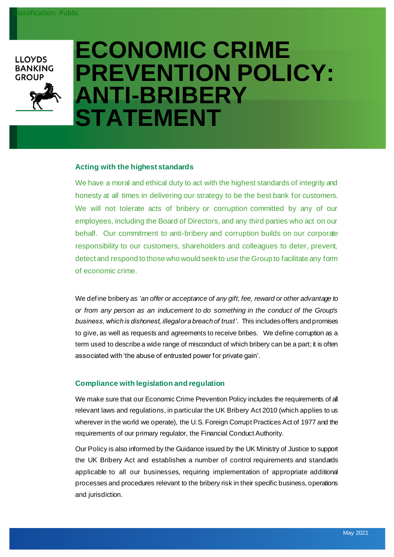**LLOYDS BANKING GROUP** 



# **ECONOMIC CRIME PREVENTION POLICY: ANTI-BRIBERY STATEMENT**

#### **Acting with the highest standards**

We have a moral and ethical duty to act with the highest standards of integrity and honesty at all times in delivering our strategy to be the best bank for customers. We will not tolerate acts of bribery or corruption committed by any of our employees, including the Board of Directors, and any third parties who act on our behalf. Our commitment to anti-bribery and corruption builds on our corporate responsibility to our customers, shareholders and colleagues to deter, prevent, detect and respond to those who would seek to use the Group to facilitate any form of economic crime.

We define bribery as *'an offer or acceptance of any gift, fee, reward or other advantage to or from any person as an inducement to do something in the conduct of the Group's business, which is dishonest, illegal or a breach of trust'*. This includes offers and promises to give, as well as requests and agreements to receive bribes. We define corruption as a term used to describe a wide range of misconduct of which bribery can be a part; it is often associated with 'the abuse of entrusted power for private gain'.

### **Compliance with legislation and regulation**

We make sure that our Economic Crime Prevention Policy includes the requirements of all relevant laws and regulations, in particular the UK Bribery Act 2010 (which applies to us wherever in the world we operate), the U.S. Foreign Corrupt Practices Act of 1977 and the requirements of our primary regulator, the Financial Conduct Authority.

Our Policy is also informed by the Guidance issued by the UK Ministry of Justice to support the UK Bribery Act and establishes a number of control requirements and standards applicable to all our businesses, requiring implementation of appropriate additional processes and procedures relevant to the bribery risk in their specific business, operations and jurisdiction.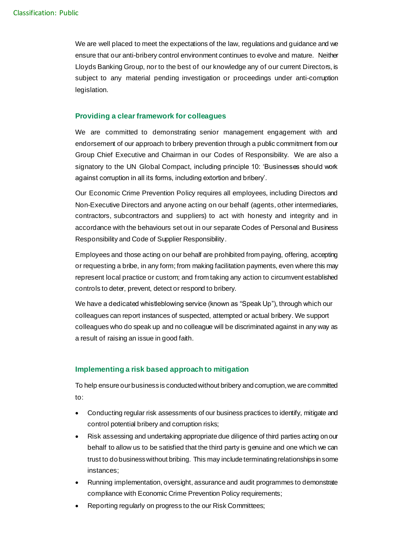We are well placed to meet the expectations of the law, regulations and guidance and we ensure that our anti-bribery control environment continues to evolve and mature. Neither Lloyds Banking Group, nor to the best of our knowledge any of our current Directors, is subject to any material pending investigation or proceedings under anti-corruption legislation.

### **Providing a clear framework for colleagues**

We are committed to demonstrating senior management engagement with and endorsement of our approach to bribery prevention through a public commitment from our Group Chief Executive and Chairman in our Codes of Responsibility. We are also a signatory to the UN Global Compact, including principle 10: 'Businesses should work against corruption in all its forms, including extortion and bribery'.

Our Economic Crime Prevention Policy requires all employees, including Directors and Non-Executive Directors and anyone acting on our behalf (agents, other intermediaries, contractors, subcontractors and suppliers) to act with honesty and integrity and in accordance with the behaviours set out in our separate Codes of Personal and Business Responsibility and Code of Supplier Responsibility.

Employees and those acting on our behalf are prohibited from paying, offering, accepting or requesting a bribe, in any form; from making facilitation payments, even where this may represent local practice or custom; and from taking any action to circumvent established controls to deter, prevent, detect or respond to bribery.

We have a dedicated whistleblowing service (known as "Speak Up"), through which our colleagues can report instances of suspected, attempted or actual bribery. We support colleagues who do speak up and no colleague will be discriminated against in any way as a result of raising an issue in good faith.

### **Implementing a risk based approach to mitigation**

To help ensure our business is conducted without bribery and corruption, we are committed to:

- Conducting regular risk assessments of our business practices to identify, mitigate and control potential bribery and corruption risks;
- Risk assessing and undertaking appropriate due diligence of third parties acting on our behalf to allow us to be satisfied that the third party is genuine and one which we can trust to do business without bribing. This may include terminating relationships in some instances;
- Running implementation, oversight, assurance and audit programmes to demonstrate compliance with Economic Crime Prevention Policy requirements;
- Reporting regularly on progress to the our Risk Committees;